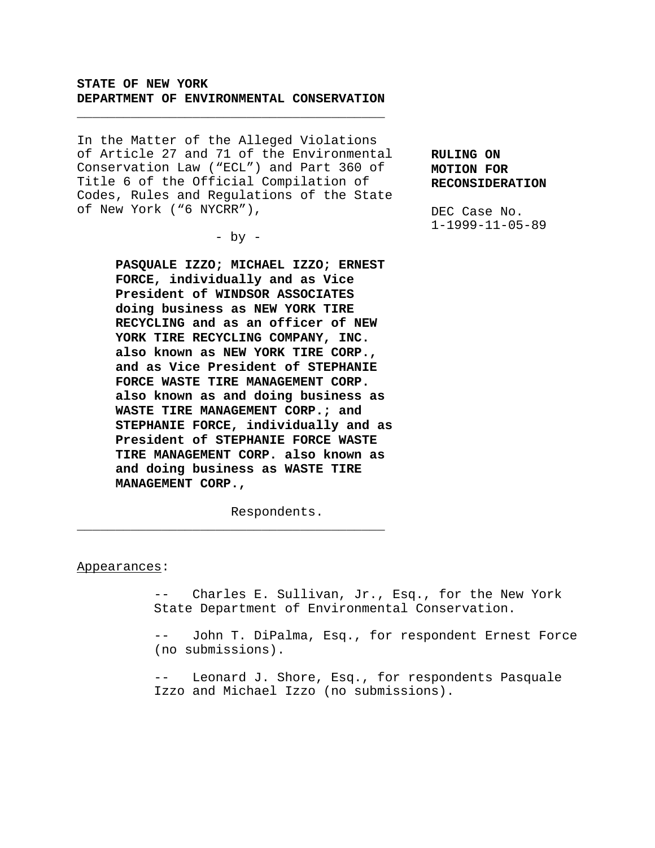# **STATE OF NEW YORK DEPARTMENT OF ENVIRONMENTAL CONSERVATION**

\_\_\_\_\_\_\_\_\_\_\_\_\_\_\_\_\_\_\_\_\_\_\_\_\_\_\_\_\_\_\_\_\_\_\_\_\_\_\_\_

In the Matter of the Alleged Violations of Article 27 and 71 of the Environmental Conservation Law ("ECL") and Part 360 of Title 6 of the Official Compilation of Codes, Rules and Regulations of the State of New York ("6 NYCRR"),

 $-$  by  $-$ 

**PASQUALE IZZO; MICHAEL IZZO; ERNEST FORCE, individually and as Vice President of WINDSOR ASSOCIATES doing business as NEW YORK TIRE RECYCLING and as an officer of NEW YORK TIRE RECYCLING COMPANY, INC. also known as NEW YORK TIRE CORP., and as Vice President of STEPHANIE FORCE WASTE TIRE MANAGEMENT CORP. also known as and doing business as WASTE TIRE MANAGEMENT CORP.; and STEPHANIE FORCE, individually and as President of STEPHANIE FORCE WASTE TIRE MANAGEMENT CORP. also known as and doing business as WASTE TIRE MANAGEMENT CORP.,**

Respondents.

\_\_\_\_\_\_\_\_\_\_\_\_\_\_\_\_\_\_\_\_\_\_\_\_\_\_\_\_\_\_\_\_\_\_\_\_\_\_\_\_

#### Appearances:

-- Charles E. Sullivan, Jr., Esq., for the New York State Department of Environmental Conservation.

-- John T. DiPalma, Esq., for respondent Ernest Force (no submissions).

-- Leonard J. Shore, Esq., for respondents Pasquale Izzo and Michael Izzo (no submissions).

**RULING ON MOTION FOR RECONSIDERATION**

DEC Case No. 1-1999-11-05-89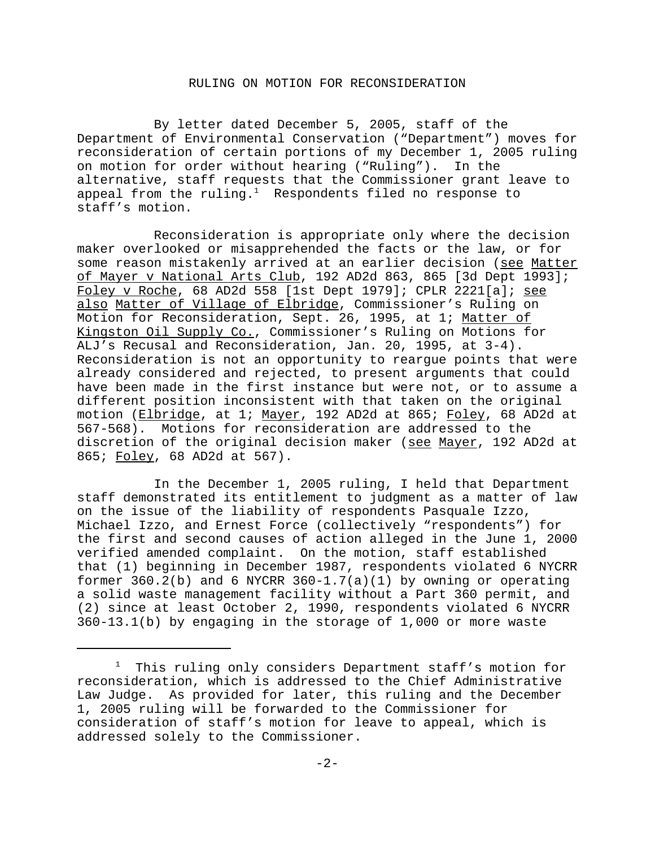## RULING ON MOTION FOR RECONSIDERATION

By letter dated December 5, 2005, staff of the Department of Environmental Conservation ("Department") moves for reconsideration of certain portions of my December 1, 2005 ruling on motion for order without hearing ("Ruling"). In the alternative, staff requests that the Commissioner grant leave to appeal from the ruling. $<sup>1</sup>$  Respondents filed no response to</sup> staff's motion.

Reconsideration is appropriate only where the decision maker overlooked or misapprehended the facts or the law, or for some reason mistakenly arrived at an earlier decision (see Matter of Mayer v National Arts Club, 192 AD2d 863, 865 [3d Dept 1993]; Foley v Roche, 68 AD2d 558 [1st Dept 1979]; CPLR 2221[a]; see also Matter of Village of Elbridge, Commissioner's Ruling on Motion for Reconsideration, Sept. 26, 1995, at 1; Matter of Kingston Oil Supply Co., Commissioner's Ruling on Motions for ALJ's Recusal and Reconsideration, Jan. 20, 1995, at 3-4). Reconsideration is not an opportunity to reargue points that were already considered and rejected, to present arguments that could have been made in the first instance but were not, or to assume a different position inconsistent with that taken on the original motion (Elbridge, at 1; Mayer, 192 AD2d at 865; Foley, 68 AD2d at 567-568). Motions for reconsideration are addressed to the discretion of the original decision maker (see Mayer, 192 AD2d at 865; Foley, 68 AD2d at 567).

In the December 1, 2005 ruling, I held that Department staff demonstrated its entitlement to judgment as a matter of law on the issue of the liability of respondents Pasquale Izzo, Michael Izzo, and Ernest Force (collectively "respondents") for the first and second causes of action alleged in the June 1, 2000 verified amended complaint. On the motion, staff established that (1) beginning in December 1987, respondents violated 6 NYCRR former  $360.2(b)$  and 6 NYCRR  $360-1.7(a)(1)$  by owning or operating a solid waste management facility without a Part 360 permit, and (2) since at least October 2, 1990, respondents violated 6 NYCRR 360-13.1(b) by engaging in the storage of 1,000 or more waste

<sup>1</sup> This ruling only considers Department staff's motion for reconsideration, which is addressed to the Chief Administrative Law Judge. As provided for later, this ruling and the December 1, 2005 ruling will be forwarded to the Commissioner for consideration of staff's motion for leave to appeal, which is addressed solely to the Commissioner.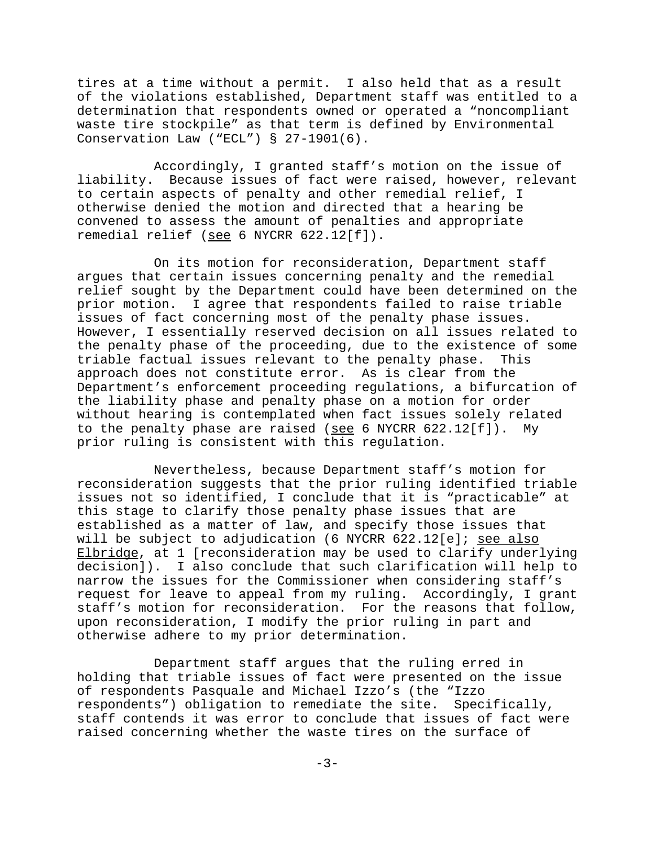tires at a time without a permit. I also held that as a result of the violations established, Department staff was entitled to a determination that respondents owned or operated a "noncompliant waste tire stockpile" as that term is defined by Environmental Conservation Law ("ECL") § 27-1901(6).

Accordingly, I granted staff's motion on the issue of liability. Because issues of fact were raised, however, relevant to certain aspects of penalty and other remedial relief, I otherwise denied the motion and directed that a hearing be convened to assess the amount of penalties and appropriate remedial relief (see 6 NYCRR 622.12[f]).

On its motion for reconsideration, Department staff argues that certain issues concerning penalty and the remedial relief sought by the Department could have been determined on the prior motion. I agree that respondents failed to raise triable issues of fact concerning most of the penalty phase issues. However, I essentially reserved decision on all issues related to the penalty phase of the proceeding, due to the existence of some triable factual issues relevant to the penalty phase. This approach does not constitute error. As is clear from the Department's enforcement proceeding regulations, a bifurcation of the liability phase and penalty phase on a motion for order without hearing is contemplated when fact issues solely related to the penalty phase are raised (see 6 NYCRR 622.12[f]). My prior ruling is consistent with this regulation.

Nevertheless, because Department staff's motion for reconsideration suggests that the prior ruling identified triable issues not so identified, I conclude that it is "practicable" at this stage to clarify those penalty phase issues that are established as a matter of law, and specify those issues that will be subject to adjudication (6 NYCRR 622.12[e]; see also Elbridge, at 1 [reconsideration may be used to clarify underlying decision]). I also conclude that such clarification will help to narrow the issues for the Commissioner when considering staff's request for leave to appeal from my ruling. Accordingly, I grant staff's motion for reconsideration. For the reasons that follow, upon reconsideration, I modify the prior ruling in part and otherwise adhere to my prior determination.

Department staff argues that the ruling erred in holding that triable issues of fact were presented on the issue of respondents Pasquale and Michael Izzo's (the "Izzo respondents") obligation to remediate the site. Specifically, staff contends it was error to conclude that issues of fact were raised concerning whether the waste tires on the surface of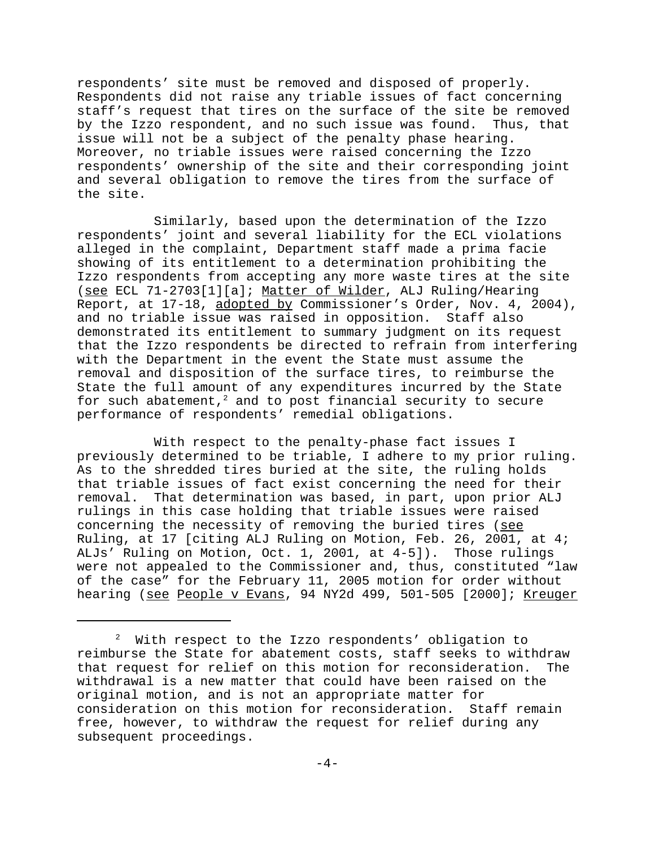respondents' site must be removed and disposed of properly. Respondents did not raise any triable issues of fact concerning staff's request that tires on the surface of the site be removed by the Izzo respondent, and no such issue was found. Thus, that issue will not be a subject of the penalty phase hearing. Moreover, no triable issues were raised concerning the Izzo respondents' ownership of the site and their corresponding joint and several obligation to remove the tires from the surface of the site.

Similarly, based upon the determination of the Izzo respondents' joint and several liability for the ECL violations alleged in the complaint, Department staff made a prima facie showing of its entitlement to a determination prohibiting the Izzo respondents from accepting any more waste tires at the site (see ECL 71-2703[1][a]; Matter of Wilder, ALJ Ruling/Hearing Report, at 17-18, adopted by Commissioner's Order, Nov. 4, 2004), and no triable issue was raised in opposition. Staff also demonstrated its entitlement to summary judgment on its request that the Izzo respondents be directed to refrain from interfering with the Department in the event the State must assume the removal and disposition of the surface tires, to reimburse the State the full amount of any expenditures incurred by the State for such abatement, $^2$  and to post financial security to secure performance of respondents' remedial obligations.

With respect to the penalty-phase fact issues I previously determined to be triable, I adhere to my prior ruling. As to the shredded tires buried at the site, the ruling holds that triable issues of fact exist concerning the need for their removal. That determination was based, in part, upon prior ALJ rulings in this case holding that triable issues were raised concerning the necessity of removing the buried tires (see Ruling, at 17 [citing ALJ Ruling on Motion, Feb. 26, 2001, at 4; ALJs' Ruling on Motion, Oct. 1, 2001, at 4-5]). Those rulings were not appealed to the Commissioner and, thus, constituted "law of the case" for the February 11, 2005 motion for order without hearing (see People v Evans, 94 NY2d 499, 501-505 [2000]; Kreuger

<sup>&</sup>lt;sup>2</sup> With respect to the Izzo respondents' obligation to reimburse the State for abatement costs, staff seeks to withdraw that request for relief on this motion for reconsideration. The withdrawal is a new matter that could have been raised on the original motion, and is not an appropriate matter for consideration on this motion for reconsideration. Staff remain free, however, to withdraw the request for relief during any subsequent proceedings.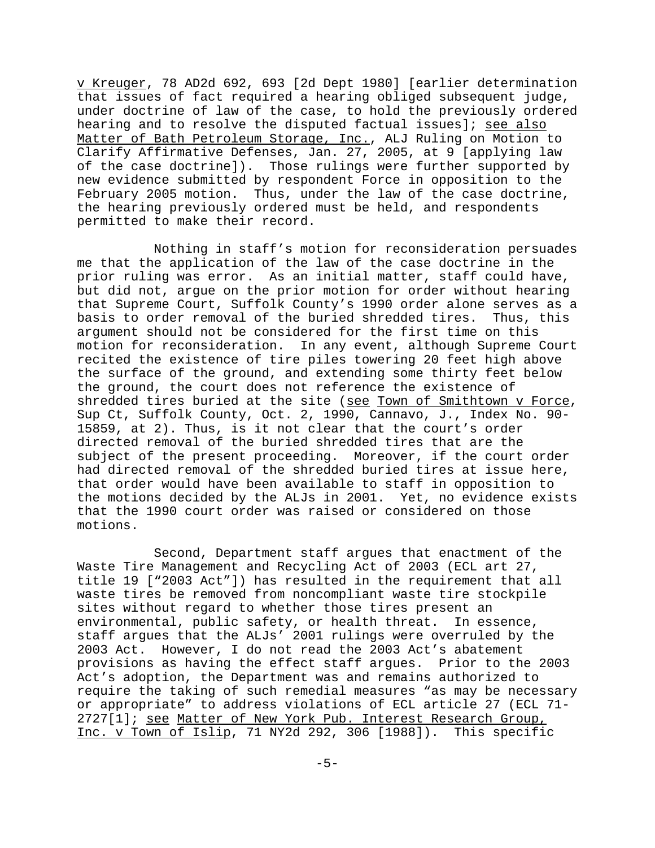v Kreuger, 78 AD2d 692, 693 [2d Dept 1980] [earlier determination that issues of fact required a hearing obliged subsequent judge, under doctrine of law of the case, to hold the previously ordered hearing and to resolve the disputed factual issues]; see also Matter of Bath Petroleum Storage, Inc., ALJ Ruling on Motion to Clarify Affirmative Defenses, Jan. 27, 2005, at 9 [applying law of the case doctrine]). Those rulings were further supported by new evidence submitted by respondent Force in opposition to the February 2005 motion. Thus, under the law of the case doctrine, the hearing previously ordered must be held, and respondents permitted to make their record.

Nothing in staff's motion for reconsideration persuades me that the application of the law of the case doctrine in the prior ruling was error. As an initial matter, staff could have, but did not, argue on the prior motion for order without hearing that Supreme Court, Suffolk County's 1990 order alone serves as a basis to order removal of the buried shredded tires. Thus, this argument should not be considered for the first time on this motion for reconsideration. In any event, although Supreme Court recited the existence of tire piles towering 20 feet high above the surface of the ground, and extending some thirty feet below the ground, the court does not reference the existence of shredded tires buried at the site (see Town of Smithtown v Force, Sup Ct, Suffolk County, Oct. 2, 1990, Cannavo, J., Index No. 90- 15859, at 2). Thus, is it not clear that the court's order directed removal of the buried shredded tires that are the subject of the present proceeding. Moreover, if the court order had directed removal of the shredded buried tires at issue here, that order would have been available to staff in opposition to the motions decided by the ALJs in 2001. Yet, no evidence exists that the 1990 court order was raised or considered on those motions.

Second, Department staff argues that enactment of the Waste Tire Management and Recycling Act of 2003 (ECL art 27, title 19 ["2003 Act"]) has resulted in the requirement that all waste tires be removed from noncompliant waste tire stockpile sites without regard to whether those tires present an environmental, public safety, or health threat. In essence, staff argues that the ALJs' 2001 rulings were overruled by the 2003 Act. However, I do not read the 2003 Act's abatement provisions as having the effect staff argues. Prior to the 2003 Act's adoption, the Department was and remains authorized to require the taking of such remedial measures "as may be necessary or appropriate" to address violations of ECL article 27 (ECL 71- 2727[1]; see Matter of New York Pub. Interest Research Group, Inc. v Town of Islip, 71 NY2d 292, 306 [1988]). This specific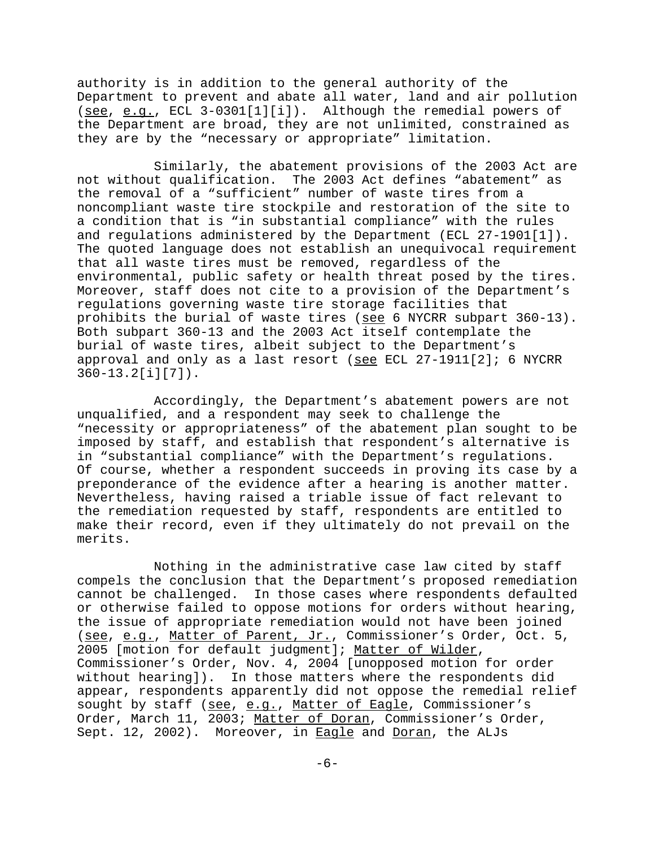authority is in addition to the general authority of the Department to prevent and abate all water, land and air pollution (see, e.g., ECL 3-0301[1][i]). Although the remedial powers of the Department are broad, they are not unlimited, constrained as they are by the "necessary or appropriate" limitation.

Similarly, the abatement provisions of the 2003 Act are not without qualification. The 2003 Act defines "abatement" as the removal of a "sufficient" number of waste tires from a noncompliant waste tire stockpile and restoration of the site to a condition that is "in substantial compliance" with the rules and regulations administered by the Department (ECL 27-1901[1]). The quoted language does not establish an unequivocal requirement that all waste tires must be removed, regardless of the environmental, public safety or health threat posed by the tires. Moreover, staff does not cite to a provision of the Department's regulations governing waste tire storage facilities that prohibits the burial of waste tires (see 6 NYCRR subpart 360-13). Both subpart 360-13 and the 2003 Act itself contemplate the burial of waste tires, albeit subject to the Department's approval and only as a last resort (see ECL 27-1911[2]; 6 NYCRR 360-13.2[i][7]).

Accordingly, the Department's abatement powers are not unqualified, and a respondent may seek to challenge the "necessity or appropriateness" of the abatement plan sought to be imposed by staff, and establish that respondent's alternative is in "substantial compliance" with the Department's regulations. Of course, whether a respondent succeeds in proving its case by a preponderance of the evidence after a hearing is another matter. Nevertheless, having raised a triable issue of fact relevant to the remediation requested by staff, respondents are entitled to make their record, even if they ultimately do not prevail on the merits.

Nothing in the administrative case law cited by staff compels the conclusion that the Department's proposed remediation cannot be challenged. In those cases where respondents defaulted or otherwise failed to oppose motions for orders without hearing, the issue of appropriate remediation would not have been joined (see, e.g., Matter of Parent, Jr., Commissioner's Order, Oct. 5, 2005 [motion for default judgment]; Matter of Wilder, Commissioner's Order, Nov. 4, 2004 [unopposed motion for order without hearing]). In those matters where the respondents did appear, respondents apparently did not oppose the remedial relief sought by staff (see, e.g., Matter of Eagle, Commissioner's Order, March 11, 2003; Matter of Doran, Commissioner's Order, Sept. 12, 2002). Moreover, in **Eagle** and Doran, the ALJs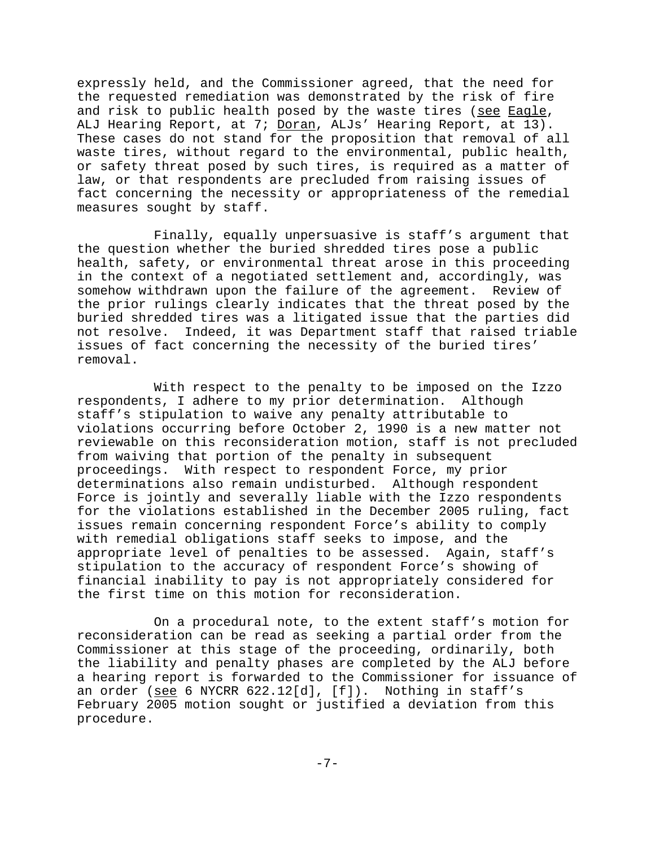expressly held, and the Commissioner agreed, that the need for the requested remediation was demonstrated by the risk of fire and risk to public health posed by the waste tires (see Eagle, ALJ Hearing Report, at 7; Doran, ALJs' Hearing Report, at 13). These cases do not stand for the proposition that removal of all waste tires, without regard to the environmental, public health, or safety threat posed by such tires, is required as a matter of law, or that respondents are precluded from raising issues of fact concerning the necessity or appropriateness of the remedial measures sought by staff.

Finally, equally unpersuasive is staff's argument that the question whether the buried shredded tires pose a public health, safety, or environmental threat arose in this proceeding in the context of a negotiated settlement and, accordingly, was somehow withdrawn upon the failure of the agreement. Review of the prior rulings clearly indicates that the threat posed by the buried shredded tires was a litigated issue that the parties did not resolve. Indeed, it was Department staff that raised triable issues of fact concerning the necessity of the buried tires' removal.

With respect to the penalty to be imposed on the Izzo respondents, I adhere to my prior determination. Although staff's stipulation to waive any penalty attributable to violations occurring before October 2, 1990 is a new matter not reviewable on this reconsideration motion, staff is not precluded from waiving that portion of the penalty in subsequent proceedings. With respect to respondent Force, my prior determinations also remain undisturbed. Although respondent Force is jointly and severally liable with the Izzo respondents for the violations established in the December 2005 ruling, fact issues remain concerning respondent Force's ability to comply with remedial obligations staff seeks to impose, and the appropriate level of penalties to be assessed. Again, staff's stipulation to the accuracy of respondent Force's showing of financial inability to pay is not appropriately considered for the first time on this motion for reconsideration.

On a procedural note, to the extent staff's motion for reconsideration can be read as seeking a partial order from the Commissioner at this stage of the proceeding, ordinarily, both the liability and penalty phases are completed by the ALJ before a hearing report is forwarded to the Commissioner for issuance of an order (see 6 NYCRR 622.12[d], [f]). Nothing in staff's February 2005 motion sought or justified a deviation from this procedure.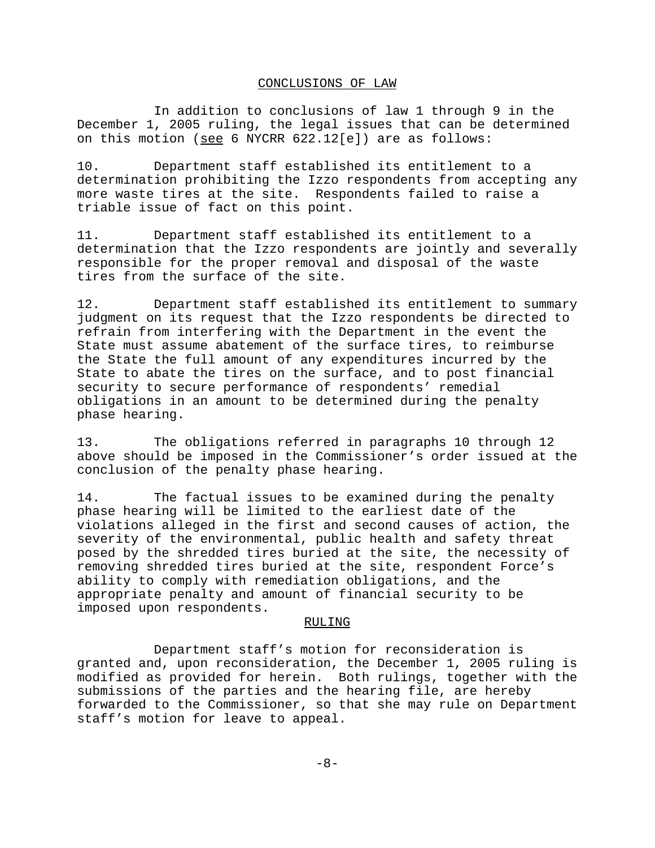## CONCLUSIONS OF LAW

In addition to conclusions of law 1 through 9 in the December 1, 2005 ruling, the legal issues that can be determined on this motion (see 6 NYCRR 622.12[e]) are as follows:

10. Department staff established its entitlement to a determination prohibiting the Izzo respondents from accepting any more waste tires at the site. Respondents failed to raise a triable issue of fact on this point.

11. Department staff established its entitlement to a determination that the Izzo respondents are jointly and severally responsible for the proper removal and disposal of the waste tires from the surface of the site.

12. Department staff established its entitlement to summary judgment on its request that the Izzo respondents be directed to refrain from interfering with the Department in the event the State must assume abatement of the surface tires, to reimburse the State the full amount of any expenditures incurred by the State to abate the tires on the surface, and to post financial security to secure performance of respondents' remedial obligations in an amount to be determined during the penalty phase hearing.

13. The obligations referred in paragraphs 10 through 12 above should be imposed in the Commissioner's order issued at the conclusion of the penalty phase hearing.

14. The factual issues to be examined during the penalty phase hearing will be limited to the earliest date of the violations alleged in the first and second causes of action, the severity of the environmental, public health and safety threat posed by the shredded tires buried at the site, the necessity of removing shredded tires buried at the site, respondent Force's ability to comply with remediation obligations, and the appropriate penalty and amount of financial security to be imposed upon respondents.

#### RULING

Department staff's motion for reconsideration is granted and, upon reconsideration, the December 1, 2005 ruling is modified as provided for herein. Both rulings, together with the submissions of the parties and the hearing file, are hereby forwarded to the Commissioner, so that she may rule on Department staff's motion for leave to appeal.